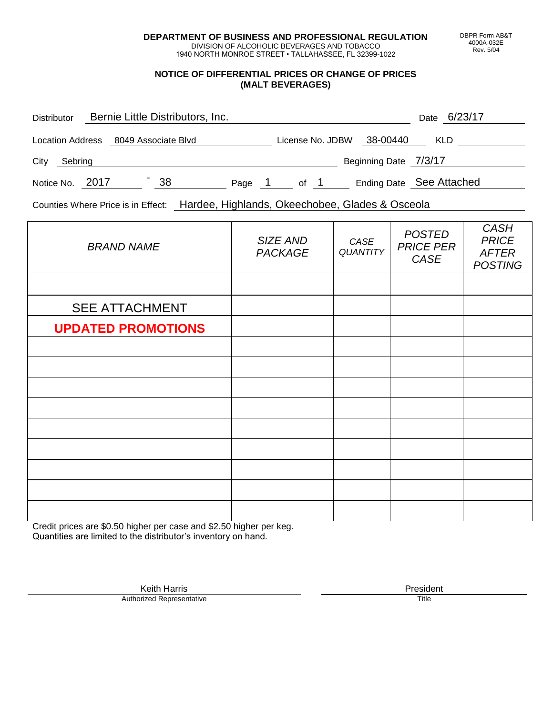**DEPARTMENT OF BUSINESS AND PROFESSIONAL REGULATION** DIVISION OF ALCOHOLIC BEVERAGES AND TOBACCO

1940 NORTH MONROE STREET • TALLAHASSEE, FL 32399-1022

## **NOTICE OF DIFFERENTIAL PRICES OR CHANGE OF PRICES (MALT BEVERAGES)**

| Distributor     | Bernie Little Distributors, Inc.     |    |        |                  |                       | Date 6/23/17             |
|-----------------|--------------------------------------|----|--------|------------------|-----------------------|--------------------------|
|                 | Location Address 8049 Associate Blvd |    |        | License No. JDBW | 38-00440              | KLD                      |
| City<br>Sebring |                                      |    |        |                  | Beginning Date 7/3/17 |                          |
| Notice No. 2017 |                                      | 38 | Page 1 | of 1             |                       | Ending Date See Attached |

Counties Where Price is in Effect: Hardee, Highlands, Okeechobee, Glades & Osceola

| <b>BRAND NAME</b>         | SIZE AND<br><b>PACKAGE</b> | CASE<br><b>QUANTITY</b> | <b>POSTED</b><br><b>PRICE PER</b><br>CASE | <b>CASH</b><br><b>PRICE</b><br><b>AFTER</b><br><b>POSTING</b> |
|---------------------------|----------------------------|-------------------------|-------------------------------------------|---------------------------------------------------------------|
|                           |                            |                         |                                           |                                                               |
| <b>SEE ATTACHMENT</b>     |                            |                         |                                           |                                                               |
| <b>UPDATED PROMOTIONS</b> |                            |                         |                                           |                                                               |
|                           |                            |                         |                                           |                                                               |
|                           |                            |                         |                                           |                                                               |
|                           |                            |                         |                                           |                                                               |
|                           |                            |                         |                                           |                                                               |
|                           |                            |                         |                                           |                                                               |
|                           |                            |                         |                                           |                                                               |
|                           |                            |                         |                                           |                                                               |
|                           |                            |                         |                                           |                                                               |
|                           |                            |                         |                                           |                                                               |

Credit prices are \$0.50 higher per case and \$2.50 higher per keg. Quantities are limited to the distributor's inventory on hand.

> Keith Harris **President**<br> **President**<br>
> Prized Representative **President Authorized Representative**

DBPR Form AB&T 4000A-032E Rev. 5/04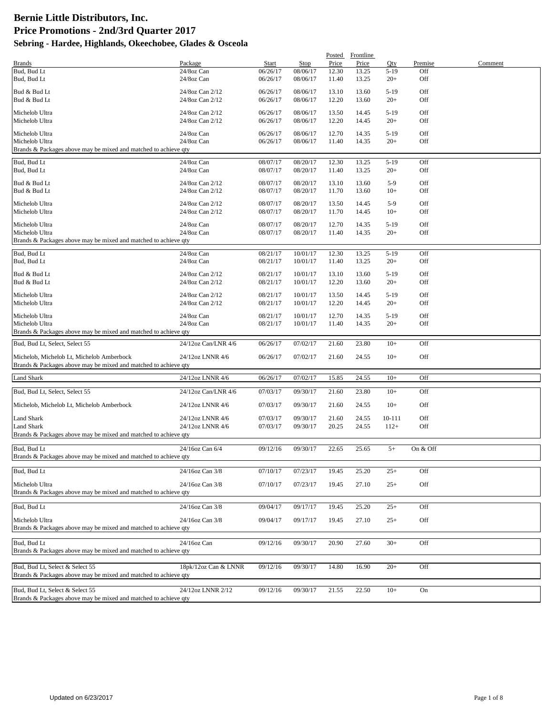|                                                                                                    |                                      |                      |                      | Posted         | Frontline      |                 |            |         |
|----------------------------------------------------------------------------------------------------|--------------------------------------|----------------------|----------------------|----------------|----------------|-----------------|------------|---------|
| <b>Brands</b>                                                                                      | Package                              | Start                | Stop                 | Price          | Price          | Qty             | Premise    | Comment |
| Bud, Bud Lt                                                                                        | 24/8oz Can                           | 06/26/17             | 08/06/17             | 12.30          | 13.25          | $5-19$          | Off        |         |
| Bud, Bud Lt                                                                                        | 24/8oz Can                           | 06/26/17             | 08/06/17             | 11.40          | 13.25          | $20+$           | Off        |         |
| Bud & Bud Lt                                                                                       | 24/8oz Can 2/12                      | 06/26/17             | 08/06/17             | 13.10          | 13.60          | $5-19$          | Off        |         |
| Bud & Bud Lt                                                                                       | 24/8oz Can 2/12                      | 06/26/17             | 08/06/17             | 12.20          | 13.60          | $20+$           | Off        |         |
|                                                                                                    |                                      |                      |                      |                |                |                 |            |         |
| Michelob Ultra                                                                                     | 24/8oz Can 2/12                      | 06/26/17             | 08/06/17             | 13.50          | 14.45          | $5-19$          | Off        |         |
| Michelob Ultra                                                                                     | 24/8oz Can 2/12                      | 06/26/17             | 08/06/17             | 12.20          | 14.45          | $20+$           | Off        |         |
| Michelob Ultra                                                                                     | 24/8oz Can                           | 06/26/17             | 08/06/17             | 12.70          | 14.35          | $5-19$          | Off        |         |
| Michelob Ultra                                                                                     | 24/8oz Can                           | 06/26/17             | 08/06/17             | 11.40          | 14.35          | $20+$           | Off        |         |
| Brands & Packages above may be mixed and matched to achieve qty                                    |                                      |                      |                      |                |                |                 |            |         |
| Bud, Bud Lt                                                                                        | 24/8oz Can                           | 08/07/17             | 08/20/17             | 12.30          | 13.25          | $5-19$          | Off        |         |
| Bud, Bud Lt                                                                                        | 24/8oz Can                           | 08/07/17             | 08/20/17             | 11.40          | 13.25          | $20+$           | Off        |         |
|                                                                                                    |                                      |                      |                      |                |                |                 |            |         |
| Bud & Bud Lt                                                                                       | 24/8oz Can 2/12                      | 08/07/17             | 08/20/17             | 13.10          | 13.60          | $5-9$           | Off        |         |
| Bud & Bud Lt                                                                                       | 24/8oz Can 2/12                      | 08/07/17             | 08/20/17             | 11.70          | 13.60          | $10+$           | Off        |         |
| Michelob Ultra                                                                                     | 24/8oz Can 2/12                      | 08/07/17             | 08/20/17             | 13.50          | 14.45          | $5-9$           | Off        |         |
| Michelob Ultra                                                                                     | 24/8oz Can 2/12                      | 08/07/17             | 08/20/17             | 11.70          | 14.45          | $10+$           | Off        |         |
|                                                                                                    |                                      |                      |                      |                |                |                 |            |         |
| Michelob Ultra                                                                                     | 24/8oz Can                           | 08/07/17             | 08/20/17             | 12.70          | 14.35          | $5-19$          | Off        |         |
| Michelob Ultra                                                                                     | 24/8oz Can                           | 08/07/17             | 08/20/17             | 11.40          | 14.35          | $20+$           | Off        |         |
| Brands & Packages above may be mixed and matched to achieve qty                                    |                                      |                      |                      |                |                |                 |            |         |
| Bud, Bud Lt                                                                                        | 24/8oz Can                           | 08/21/17             | 10/01/17             | 12.30          | 13.25          | $5-19$          | Off        |         |
| Bud, Bud Lt                                                                                        | 24/8oz Can                           | 08/21/17             | 10/01/17             | 11.40          | 13.25          | $20+$           | Off        |         |
|                                                                                                    |                                      |                      |                      |                |                |                 |            |         |
| Bud & Bud Lt                                                                                       | 24/8oz Can 2/12                      | 08/21/17             | 10/01/17             | 13.10          | 13.60          | $5-19$          | Off        |         |
| Bud & Bud Lt                                                                                       | 24/8oz Can 2/12                      | 08/21/17             | 10/01/17             | 12.20          | 13.60          | $20+$           | Off        |         |
| Michelob Ultra                                                                                     | 24/8oz Can 2/12                      | 08/21/17             | 10/01/17             | 13.50          | 14.45          | $5-19$          | Off        |         |
| Michelob Ultra                                                                                     | 24/8oz Can 2/12                      | 08/21/17             | 10/01/17             | 12.20          | 14.45          | $20+$           | Off        |         |
|                                                                                                    |                                      |                      |                      |                |                |                 |            |         |
| Michelob Ultra<br>Michelob Ultra                                                                   | 24/8oz Can<br>24/8oz Can             | 08/21/17<br>08/21/17 | 10/01/17<br>10/01/17 | 12.70<br>11.40 | 14.35<br>14.35 | $5-19$<br>$20+$ | Off<br>Off |         |
| Brands & Packages above may be mixed and matched to achieve qty                                    |                                      |                      |                      |                |                |                 |            |         |
|                                                                                                    |                                      |                      |                      |                |                |                 |            |         |
| Bud, Bud Lt, Select, Select 55                                                                     | 24/12oz Can/LNR 4/6                  | 06/26/17             | 07/02/17             | 21.60          | 23.80          | $10+$           | Off        |         |
| Michelob, Michelob Lt, Michelob Amberbock                                                          | 24/12oz LNNR 4/6                     | 06/26/17             | 07/02/17             | 21.60          | 24.55          | $10+$           | Off        |         |
| Brands & Packages above may be mixed and matched to achieve qty                                    |                                      |                      |                      |                |                |                 |            |         |
|                                                                                                    |                                      |                      |                      |                |                |                 |            |         |
| <b>Land Shark</b>                                                                                  | 24/12oz LNNR 4/6                     | 06/26/17             | 07/02/17             | 15.85          | 24.55          | $10+$           | Off        |         |
| Bud, Bud Lt, Select, Select 55                                                                     | 24/12oz Can/LNR 4/6                  | 07/03/17             | 09/30/17             | 21.60          | 23.80          | $10+$           | Off        |         |
|                                                                                                    |                                      |                      |                      |                |                |                 |            |         |
| Michelob, Michelob Lt, Michelob Amberbock                                                          | 24/12oz LNNR 4/6                     | 07/03/17             | 09/30/17             | 21.60          | 24.55          | $10+$           | Off        |         |
|                                                                                                    |                                      |                      |                      |                |                |                 |            |         |
| <b>Land Shark</b><br>Land Shark                                                                    | 24/12oz LNNR 4/6<br>24/12oz LNNR 4/6 | 07/03/17<br>07/03/17 | 09/30/17<br>09/30/17 | 21.60          | 24.55<br>24.55 | 10-111          | Off<br>Off |         |
| Brands & Packages above may be mixed and matched to achieve qty                                    |                                      |                      |                      | 20.25          |                | $112+$          |            |         |
|                                                                                                    |                                      |                      |                      |                |                |                 |            |         |
| Bud, Bud Lt                                                                                        | 24/16oz Can 6/4                      | 09/12/16             | 09/30/17             | 22.65          | 25.65          | $5+$            | On & Off   |         |
| Brands & Packages above may be mixed and matched to achieve qty                                    |                                      |                      |                      |                |                |                 |            |         |
|                                                                                                    |                                      |                      |                      |                |                |                 |            |         |
| Bud, Bud Lt                                                                                        | 24/16oz Can 3/8                      | 07/10/17             | 07/23/17             | 19.45          | 25.20          | $25+$           | Off        |         |
| Michelob Ultra                                                                                     | 24/16oz Can 3/8                      | 07/10/17             | 07/23/17             | 19.45          | 27.10          | $25+$           | Off        |         |
| Brands & Packages above may be mixed and matched to achieve qty                                    |                                      |                      |                      |                |                |                 |            |         |
|                                                                                                    |                                      |                      |                      |                |                |                 |            |         |
| Bud, Bud Lt                                                                                        | 24/16oz Can 3/8                      | 09/04/17             | 09/17/17             | 19.45          | 25.20          | $25+$           | Off        |         |
| Michelob Ultra                                                                                     | 24/16oz Can 3/8                      | 09/04/17             | 09/17/17             | 19.45          | 27.10          | $25+$           | Off        |         |
| Brands & Packages above may be mixed and matched to achieve qty                                    |                                      |                      |                      |                |                |                 |            |         |
|                                                                                                    |                                      |                      |                      |                |                |                 |            |         |
| Bud, Bud Lt                                                                                        | 24/16oz Can                          | 09/12/16             | 09/30/17             | 20.90          | 27.60          | $30+$           | Off        |         |
| Brands & Packages above may be mixed and matched to achieve qty                                    |                                      |                      |                      |                |                |                 |            |         |
|                                                                                                    |                                      |                      |                      |                |                |                 |            |         |
| Bud, Bud Lt, Select & Select 55                                                                    | 18pk/12oz Can & LNNR                 | 09/12/16             | 09/30/17             | 14.80          | 16.90          | $20+$           | Off        |         |
| Brands & Packages above may be mixed and matched to achieve qty                                    |                                      |                      |                      |                |                |                 |            |         |
|                                                                                                    |                                      |                      |                      |                |                |                 |            |         |
| Bud, Bud Lt, Select & Select 55<br>Brands & Packages above may be mixed and matched to achieve qty | 24/12oz LNNR 2/12                    | 09/12/16             | 09/30/17             | 21.55          | 22.50          | $10+$           | On         |         |
|                                                                                                    |                                      |                      |                      |                |                |                 |            |         |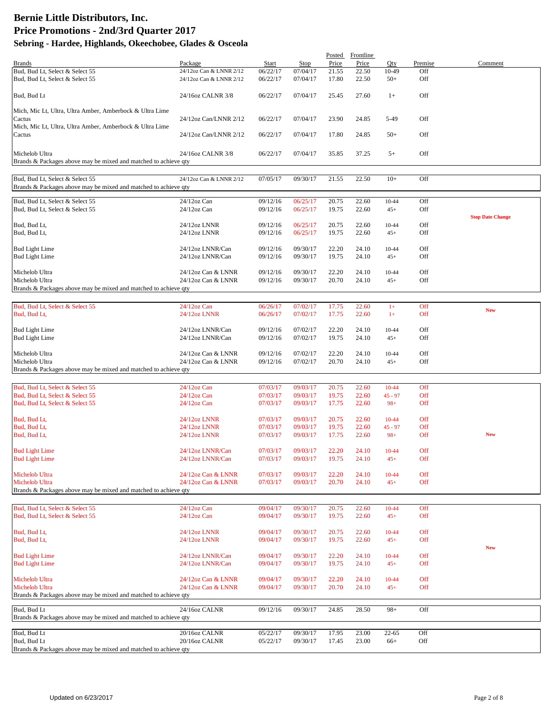|                                                                                                     |                                          |                      |                      | Posted         | Frontline      |                    |                |                         |
|-----------------------------------------------------------------------------------------------------|------------------------------------------|----------------------|----------------------|----------------|----------------|--------------------|----------------|-------------------------|
| <b>Brands</b><br>Bud, Bud Lt, Select & Select 55                                                    | Package<br>24/12oz Can & LNNR 2/12       | Start<br>06/22/17    | Stop<br>07/04/17     | Price<br>21.55 | Price<br>22.50 | Qty<br>10-49       | Premise<br>Off | Comment                 |
| Bud, Bud Lt, Select & Select 55                                                                     | 24/12oz Can & LNNR 2/12                  | 06/22/17             | 07/04/17             | 17.80          | 22.50          | $50+$              | Off            |                         |
| Bud, Bud Lt                                                                                         | 24/16oz CALNR 3/8                        | 06/22/17             | 07/04/17             | 25.45          | 27.60          | $1+$               | Off            |                         |
| Mich, Mic Lt, Ultra, Ultra Amber, Amberbock & Ultra Lime                                            |                                          |                      |                      |                |                |                    |                |                         |
| Cactus                                                                                              | 24/12oz Can/LNNR 2/12                    | 06/22/17             | 07/04/17             | 23.90          | 24.85          | 5-49               | Off            |                         |
| Mich, Mic Lt, Ultra, Ultra Amber, Amberbock & Ultra Lime<br>Cactus                                  | 24/12oz Can/LNNR 2/12                    | 06/22/17             | 07/04/17             | 17.80          | 24.85          | $50+$              | Off            |                         |
|                                                                                                     |                                          |                      |                      |                |                |                    |                |                         |
| Michelob Ultra<br>Brands & Packages above may be mixed and matched to achieve qty                   | 24/16oz CALNR 3/8                        | 06/22/17             | 07/04/17             | 35.85          | 37.25          | $5+$               | Off            |                         |
| Bud, Bud Lt, Select & Select 55<br>Brands & Packages above may be mixed and matched to achieve qty  | 24/12oz Can & LNNR 2/12                  | 07/05/17             | 09/30/17             | 21.55          | 22.50          | $10+$              | Off            |                         |
| Bud, Bud Lt, Select & Select 55<br>Bud, Bud Lt, Select & Select 55                                  | 24/12oz Can<br>$24/12$ oz Can            | 09/12/16<br>09/12/16 | 06/25/17<br>06/25/17 | 20.75<br>19.75 | 22.60<br>22.60 | $10 - 44$<br>$45+$ | Off<br>Off     |                         |
| Bud, Bud Lt,<br>Bud, Bud Lt,                                                                        | 24/12oz LNNR<br>24/12oz LNNR             | 09/12/16<br>09/12/16 | 06/25/17<br>06/25/17 | 20.75<br>19.75 | 22.60<br>22.60 | 10-44<br>$45+$     | Off<br>Off     | <b>Stop Date Change</b> |
| <b>Bud Light Lime</b><br><b>Bud Light Lime</b>                                                      | 24/12oz LNNR/Can<br>24/12oz LNNR/Can     | 09/12/16<br>09/12/16 | 09/30/17<br>09/30/17 | 22.20<br>19.75 | 24.10<br>24.10 | 10-44<br>$45+$     | Off<br>Off     |                         |
| Michelob Ultra<br>Michelob Ultra<br>Brands & Packages above may be mixed and matched to achieve qty | 24/12oz Can & LNNR<br>24/12oz Can & LNNR | 09/12/16<br>09/12/16 | 09/30/17<br>09/30/17 | 22.20<br>20.70 | 24.10<br>24.10 | $10-44$<br>$45+$   | Off<br>Off     |                         |
|                                                                                                     |                                          |                      |                      |                |                |                    |                |                         |
| Bud, Bud Lt, Select & Select 55<br>Bud, Bud Lt,                                                     | 24/12oz Can<br>24/12oz LNNR              | 06/26/17<br>06/26/17 | 07/02/17<br>07/02/17 | 17.75<br>17.75 | 22.60<br>22.60 | $1+$<br>$1+$       | Off<br>Off     | <b>New</b>              |
| <b>Bud Light Lime</b>                                                                               | 24/12oz LNNR/Can                         | 09/12/16             | 07/02/17             | 22.20          | 24.10          | 10-44              | Off            |                         |
| <b>Bud Light Lime</b>                                                                               | 24/12oz LNNR/Can                         | 09/12/16             | 07/02/17             | 19.75          | 24.10          | $45+$              | Off            |                         |
| Michelob Ultra<br>Michelob Ultra                                                                    | 24/12oz Can & LNNR<br>24/12oz Can & LNNR | 09/12/16<br>09/12/16 | 07/02/17<br>07/02/17 | 22.20<br>20.70 | 24.10<br>24.10 | $10 - 44$<br>$45+$ | Off<br>Off     |                         |
| Brands & Packages above may be mixed and matched to achieve qty                                     |                                          |                      |                      |                |                |                    |                |                         |
|                                                                                                     |                                          |                      |                      |                |                |                    |                |                         |
| Bud, Bud Lt, Select & Select 55                                                                     | 24/12oz Can                              | 07/03/17             | 09/03/17             | 20.75          | 22.60          | $10-44$            | Off            |                         |
| Bud, Bud Lt, Select & Select 55<br>Bud, Bud Lt, Select & Select 55                                  | $24/12$ oz Can<br>24/12oz Can            | 07/03/17<br>07/03/17 | 09/03/17<br>09/03/17 | 19.75<br>17.75 | 22.60<br>22.60 | $45 - 97$<br>$98+$ | Off<br>Off     |                         |
|                                                                                                     |                                          |                      |                      |                |                |                    |                |                         |
| Bud, Bud Lt,                                                                                        | 24/12oz LNNR                             | 07/03/17             | 09/03/17             | 20.75          | 22.60          | $10-44$            | Off            |                         |
| Bud, Bud Lt,<br>Bud, Bud Lt,                                                                        | 24/12oz LNNR<br>24/12oz LNNR             | 07/03/17<br>07/03/17 | 09/03/17<br>09/03/17 | 19.75<br>17.75 | 22.60<br>22.60 | $45 - 97$<br>$98+$ | Off<br>Off     | <b>New</b>              |
|                                                                                                     |                                          |                      |                      |                |                |                    |                |                         |
| <b>Bud Light Lime</b><br><b>Bud Light Lime</b>                                                      | 24/12oz LNNR/Can<br>24/12oz LNNR/Can     | 07/03/17<br>07/03/17 | 09/03/17<br>09/03/17 | 22.20<br>19.75 | 24.10<br>24.10 | $10-44$<br>$45+$   | Off<br>Off     |                         |
| Michelob Ultra                                                                                      | 24/12oz Can & LNNR                       | 07/03/17             | 09/03/17             | 22.20          | 24.10          | $10-44$            | Off            |                         |
| Michelob Ultra<br>Brands & Packages above may be mixed and matched to achieve qty                   | 24/12oz Can & LNNR                       | 07/03/17             | 09/03/17             | 20.70          | 24.10          | $45+$              | Off            |                         |
|                                                                                                     |                                          |                      |                      |                |                |                    |                |                         |
| Bud, Bud Lt, Select & Select 55                                                                     | 24/12oz Can                              | 09/04/17             | 09/30/17             | 20.75          | 22.60          | $10-44$            | Off            |                         |
| Bud, Bud Lt, Select & Select 55                                                                     | 24/12oz Can                              | 09/04/17             | 09/30/17             | 19.75          | 22.60          | $45+$              | Off            |                         |
| Bud, Bud Lt,                                                                                        | 24/12oz LNNR<br>24/12oz LNNR             | 09/04/17<br>09/04/17 | 09/30/17             | 20.75          | 22.60          | $10-44$            | Off<br>Off     |                         |
| Bud, Bud Lt,                                                                                        |                                          |                      | 09/30/17             | 19.75          | 22.60          | $45+$              |                | <b>New</b>              |
| <b>Bud Light Lime</b><br><b>Bud Light Lime</b>                                                      | 24/12oz LNNR/Can<br>24/12oz LNNR/Can     | 09/04/17<br>09/04/17 | 09/30/17<br>09/30/17 | 22.20<br>19.75 | 24.10<br>24.10 | $10-44$<br>$45+$   | Off<br>Off     |                         |
|                                                                                                     |                                          |                      |                      |                |                |                    |                |                         |
| Michelob Ultra<br>Michelob Ultra                                                                    | 24/12oz Can & LNNR<br>24/12oz Can & LNNR | 09/04/17<br>09/04/17 | 09/30/17<br>09/30/17 | 22.20<br>20.70 | 24.10<br>24.10 | $10-44$<br>$45+$   | Off<br>Off     |                         |
| Brands & Packages above may be mixed and matched to achieve qty                                     |                                          |                      |                      |                |                |                    |                |                         |
| Bud, Bud Lt<br>Brands & Packages above may be mixed and matched to achieve qty                      | 24/16oz CALNR                            | 09/12/16             | 09/30/17             | 24.85          | 28.50          | $98+$              | Off            |                         |
| Bud, Bud Lt                                                                                         | 20/16oz CALNR                            | 05/22/17             | 09/30/17             | 17.95          | 23.00          | $22 - 65$          | Off            |                         |
| Bud, Bud Lt<br>Brands & Packages above may be mixed and matched to achieve qty                      | 20/16oz CALNR                            | 05/22/17             | 09/30/17             | 17.45          | 23.00          | $66+$              | Off            |                         |
|                                                                                                     |                                          |                      |                      |                |                |                    |                |                         |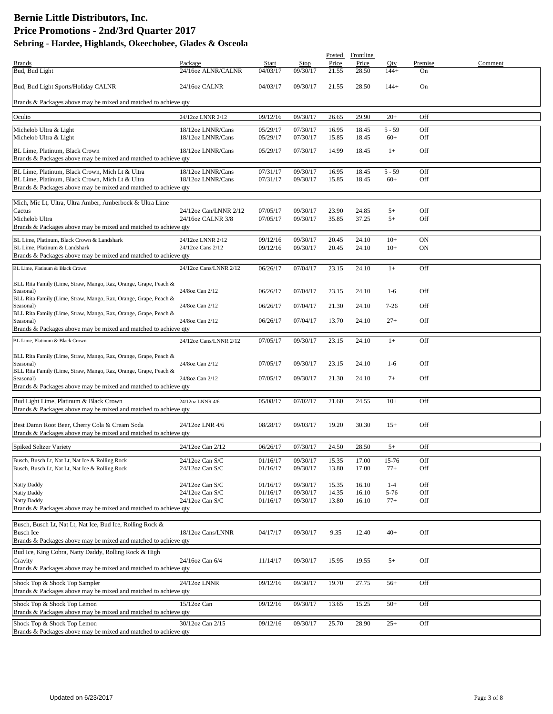|                                                                                     |                        |          |             |       | Posted Frontline |          |         |         |
|-------------------------------------------------------------------------------------|------------------------|----------|-------------|-------|------------------|----------|---------|---------|
| <b>Brands</b>                                                                       | Package                | Start    | <b>Stop</b> | Price | Price            | Qty      | Premise | Comment |
| Bud, Bud Light                                                                      | 24/16oz ALNR/CALNR     | 04/03/17 | 09/30/17    | 21.55 | 28.50            | $144+$   | On      |         |
| Bud, Bud Light Sports/Holiday CALNR                                                 | 24/16oz CALNR          | 04/03/17 | 09/30/17    | 21.55 | 28.50            | $144+$   | On      |         |
| Brands & Packages above may be mixed and matched to achieve qty                     |                        |          |             |       |                  |          |         |         |
|                                                                                     |                        |          |             |       |                  |          |         |         |
| Oculto                                                                              | 24/12oz LNNR 2/12      | 09/12/16 | 09/30/17    | 26.65 | 29.90            | $20+$    | Off     |         |
| Michelob Ultra & Light                                                              | 18/12oz LNNR/Cans      | 05/29/17 | 07/30/17    | 16.95 | 18.45            | $5 - 59$ | Off     |         |
| Michelob Ultra & Light                                                              | 18/12oz LNNR/Cans      | 05/29/17 | 07/30/17    | 15.85 | 18.45            | $60+$    | Off     |         |
| BL Lime, Platinum, Black Crown                                                      | 18/12oz LNNR/Cans      | 05/29/17 | 07/30/17    | 14.99 | 18.45            | $1+$     | Off     |         |
| Brands & Packages above may be mixed and matched to achieve qty                     |                        |          |             |       |                  |          |         |         |
| BL Lime, Platinum, Black Crown, Mich Lt & Ultra                                     | 18/12oz LNNR/Cans      | 07/31/17 | 09/30/17    | 16.95 | 18.45            | $5 - 59$ | Off     |         |
| BL Lime, Platinum, Black Crown, Mich Lt & Ultra                                     | 18/12oz LNNR/Cans      | 07/31/17 | 09/30/17    | 15.85 | 18.45            | $60+$    | Off     |         |
| Brands & Packages above may be mixed and matched to achieve qty                     |                        |          |             |       |                  |          |         |         |
|                                                                                     |                        |          |             |       |                  |          |         |         |
| Mich, Mic Lt, Ultra, Ultra Amber, Amberbock & Ultra Lime                            |                        |          |             |       |                  |          |         |         |
| Cactus                                                                              | 24/12oz Can/LNNR 2/12  | 07/05/17 | 09/30/17    | 23.90 | 24.85            | $5+$     | Off     |         |
| Michelob Ultra<br>Brands & Packages above may be mixed and matched to achieve qty   | 24/16oz CALNR 3/8      | 07/05/17 | 09/30/17    | 35.85 | 37.25            | $5+$     | Off     |         |
|                                                                                     |                        |          |             |       |                  |          |         |         |
| BL Lime, Platinum, Black Crown & Landshark                                          | 24/12oz LNNR 2/12      | 09/12/16 | 09/30/17    | 20.45 | 24.10            | $10+$    | ON      |         |
| BL Lime, Platinum & Landshark                                                       | 24/12oz Cans 2/12      | 09/12/16 | 09/30/17    | 20.45 | 24.10            | $10+$    | ON      |         |
| Brands & Packages above may be mixed and matched to achieve qty                     |                        |          |             |       |                  |          |         |         |
| BL Lime, Platinum & Black Crown                                                     | 24/12oz Cans/LNNR 2/12 | 06/26/17 | 07/04/17    | 23.15 | 24.10            | $1+$     | Off     |         |
|                                                                                     |                        |          |             |       |                  |          |         |         |
| BLL Rita Family (Lime, Straw, Mango, Raz, Orange, Grape, Peach &<br>Seasonal)       | 24/8oz Can 2/12        | 06/26/17 | 07/04/17    | 23.15 | 24.10            | $1-6$    | Off     |         |
| BLL Rita Family (Lime, Straw, Mango, Raz, Orange, Grape, Peach &                    |                        |          |             |       |                  |          |         |         |
| Seasonal)                                                                           | 24/8oz Can 2/12        | 06/26/17 | 07/04/17    | 21.30 | 24.10            | $7 - 26$ | Off     |         |
| BLL Rita Family (Lime, Straw, Mango, Raz, Orange, Grape, Peach &                    |                        |          |             |       |                  |          |         |         |
| Seasonal)                                                                           | 24/8oz Can 2/12        | 06/26/17 | 07/04/17    | 13.70 | 24.10            | $27+$    | Off     |         |
| Brands & Packages above may be mixed and matched to achieve qty                     |                        |          |             |       |                  |          |         |         |
| BL Lime, Platinum & Black Crown                                                     | 24/12oz Cans/LNNR 2/12 | 07/05/17 | 09/30/17    | 23.15 | 24.10            | $1+$     | Off     |         |
|                                                                                     |                        |          |             |       |                  |          |         |         |
| BLL Rita Family (Lime, Straw, Mango, Raz, Orange, Grape, Peach &<br>Seasonal)       | 24/8oz Can 2/12        | 07/05/17 | 09/30/17    | 23.15 | 24.10            | $1-6$    | Off     |         |
| BLL Rita Family (Lime, Straw, Mango, Raz, Orange, Grape, Peach &                    |                        |          |             |       |                  |          |         |         |
| Seasonal)                                                                           | 24/8oz Can 2/12        | 07/05/17 | 09/30/17    | 21.30 | 24.10            | $7+$     | Off     |         |
| Brands & Packages above may be mixed and matched to achieve qty                     |                        |          |             |       |                  |          |         |         |
| Bud Light Lime, Platinum & Black Crown                                              | 24/12oz LNNR 4/6       | 05/08/17 | 07/02/17    | 21.60 | 24.55            | $10+$    | Off     |         |
| Brands & Packages above may be mixed and matched to achieve qty                     |                        |          |             |       |                  |          |         |         |
|                                                                                     |                        |          |             |       |                  |          |         |         |
| Best Damn Root Beer, Cherry Cola & Cream Soda                                       | 24/12oz LNR 4/6        | 08/28/17 | 09/03/17    | 19.20 | 30.30            | $15+$    | Off     |         |
| Brands & Packages above may be mixed and matched to achieve qty                     |                        |          |             |       |                  |          |         |         |
| <b>Spiked Seltzer Variety</b>                                                       | 24/12oz Can 2/12       | 06/26/17 | 07/30/17    | 24.50 | 28.50            | $5+$     | Off     |         |
|                                                                                     |                        |          |             |       |                  |          |         |         |
| Busch, Busch Lt, Nat Lt, Nat Ice & Rolling Rock                                     | 24/12oz Can S/C        | 01/16/17 | 09/30/17    | 15.35 | 17.00            | 15-76    | Off     |         |
| Busch, Busch Lt, Nat Lt, Nat Ice & Rolling Rock                                     | 24/12oz Can S/C        | 01/16/17 | 09/30/17    | 13.80 | 17.00            | $77+$    | Off     |         |
| Natty Daddy                                                                         | 24/12oz Can S/C        | 01/16/17 | 09/30/17    | 15.35 | 16.10            | $1-4$    | Off     |         |
| Natty Daddy                                                                         | 24/12oz Can S/C        | 01/16/17 | 09/30/17    | 14.35 | 16.10            | $5 - 76$ | Off     |         |
| Natty Daddy                                                                         | 24/12oz Can S/C        | 01/16/17 | 09/30/17    | 13.80 | 16.10            | $77+$    | Off     |         |
| Brands & Packages above may be mixed and matched to achieve qty                     |                        |          |             |       |                  |          |         |         |
|                                                                                     |                        |          |             |       |                  |          |         |         |
| Busch, Busch Lt, Nat Lt, Nat Ice, Bud Ice, Rolling Rock &                           |                        |          |             |       |                  |          |         |         |
| <b>Busch Ice</b><br>Brands & Packages above may be mixed and matched to achieve qty | 18/12oz Cans/LNNR      | 04/17/17 | 09/30/17    | 9.35  | 12.40            | $40+$    | Off     |         |
|                                                                                     |                        |          |             |       |                  |          |         |         |
| Bud Ice, King Cobra, Natty Daddy, Rolling Rock & High                               |                        |          |             |       |                  |          |         |         |
| Gravity<br>Brands & Packages above may be mixed and matched to achieve qty          | 24/16oz Can 6/4        | 11/14/17 | 09/30/17    | 15.95 | 19.55            | $5+$     | Off     |         |
|                                                                                     |                        |          |             |       |                  |          |         |         |
| Shock Top & Shock Top Sampler                                                       | 24/12oz LNNR           | 09/12/16 | 09/30/17    | 19.70 | 27.75            | $56+$    | Off     |         |
| Brands & Packages above may be mixed and matched to achieve qty                     |                        |          |             |       |                  |          |         |         |
| Shock Top & Shock Top Lemon                                                         | 15/12oz Can            | 09/12/16 | 09/30/17    | 13.65 | 15.25            | $50+$    | Off     |         |
| Brands & Packages above may be mixed and matched to achieve qty                     |                        |          |             |       |                  |          |         |         |
| Shock Top & Shock Top Lemon                                                         | 30/12oz Can 2/15       | 09/12/16 | 09/30/17    | 25.70 | 28.90            | $25+$    | Off     |         |
| Brands & Packages above may be mixed and matched to achieve qty                     |                        |          |             |       |                  |          |         |         |
|                                                                                     |                        |          |             |       |                  |          |         |         |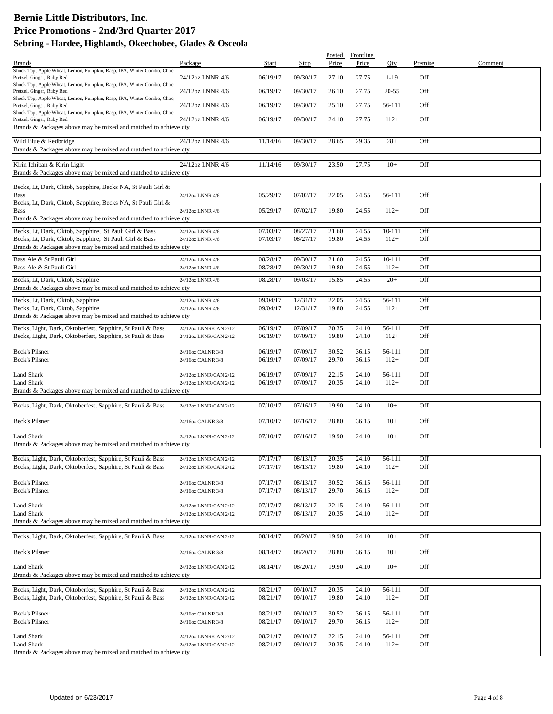|                                                                                                                                                                        |                                                |                      |                      | Posted         | Frontline      |                      |            |         |
|------------------------------------------------------------------------------------------------------------------------------------------------------------------------|------------------------------------------------|----------------------|----------------------|----------------|----------------|----------------------|------------|---------|
| <b>Brands</b>                                                                                                                                                          | Package                                        | Start                | Stop                 | Price          | Price          | Qty                  | Premise    | Comment |
| Shock Top, Apple Wheat, Lemon, Pumpkin, Rasp, IPA, Winter Combo, Choc,<br>Pretzel, Ginger, Ruby Red                                                                    | 24/12oz LNNR 4/6                               | 06/19/17             | 09/30/17             | 27.10          | 27.75          | $1-19$               | Off        |         |
| Shock Top, Apple Wheat, Lemon, Pumpkin, Rasp, IPA, Winter Combo, Choc,<br>Pretzel, Ginger, Ruby Red                                                                    | 24/12oz LNNR 4/6                               | 06/19/17             | 09/30/17             | 26.10          | 27.75          | 20-55                | Off        |         |
| Shock Top, Apple Wheat, Lemon, Pumpkin, Rasp, IPA, Winter Combo, Choc,<br>Pretzel, Ginger, Ruby Red                                                                    | 24/12oz LNNR 4/6                               | 06/19/17             | 09/30/17             | 25.10          | 27.75          | 56-111               | Off        |         |
| Shock Top, Apple Wheat, Lemon, Pumpkin, Rasp, IPA, Winter Combo, Choc,<br>Pretzel, Ginger, Ruby Red<br>Brands & Packages above may be mixed and matched to achieve qty | 24/12oz LNNR 4/6                               | 06/19/17             | 09/30/17             | 24.10          | 27.75          | $112+$               | Off        |         |
| Wild Blue & Redbridge<br>Brands & Packages above may be mixed and matched to achieve qty                                                                               | 24/12oz LNNR 4/6                               | 11/14/16             | 09/30/17             | 28.65          | 29.35          | $28+$                | Off        |         |
| Kirin Ichiban & Kirin Light<br>Brands & Packages above may be mixed and matched to achieve qty                                                                         | 24/12oz LNNR 4/6                               | 11/14/16             | 09/30/17             | 23.50          | 27.75          | $10+$                | Off        |         |
| Becks, Lt, Dark, Oktob, Sapphire, Becks NA, St Pauli Girl &                                                                                                            |                                                |                      |                      |                |                |                      |            |         |
| <b>Bass</b><br>Becks, Lt, Dark, Oktob, Sapphire, Becks NA, St Pauli Girl &                                                                                             | 24/12oz LNNR 4/6                               | 05/29/17             | 07/02/17             | 22.05          | 24.55          | 56-111               | Off        |         |
| <b>Bass</b><br>Brands & Packages above may be mixed and matched to achieve qty                                                                                         | 24/12oz LNNR 4/6                               | 05/29/17             | 07/02/17             | 19.80          | 24.55          | $112+$               | Off        |         |
|                                                                                                                                                                        |                                                |                      |                      |                |                |                      |            |         |
| Becks, Lt, Dark, Oktob, Sapphire, St Pauli Girl & Bass<br>Becks, Lt, Dark, Oktob, Sapphire, St Pauli Girl & Bass                                                       | 24/12oz LNNR 4/6<br>24/12oz LNNR 4/6           | 07/03/17<br>07/03/17 | 08/27/17<br>08/27/17 | 21.60<br>19.80 | 24.55<br>24.55 | $10 - 111$<br>$112+$ | Off<br>Off |         |
| Brands & Packages above may be mixed and matched to achieve qty                                                                                                        |                                                |                      |                      |                |                |                      |            |         |
| Bass Ale & St Pauli Girl                                                                                                                                               | 24/12oz LNNR 4/6                               | 08/28/17             | 09/30/17             | 21.60          | 24.55          | $10 - 111$           | Off        |         |
| Bass Ale & St Pauli Girl                                                                                                                                               | 24/12oz LNNR 4/6                               | 08/28/17             | 09/30/17             | 19.80          | 24.55          | $112+$               | Off        |         |
| Becks, Lt, Dark, Oktob, Sapphire<br>Brands & Packages above may be mixed and matched to achieve qty                                                                    | 24/12oz LNNR 4/6                               | 08/28/17             | 09/03/17             | 15.85          | 24.55          | $20+$                | Off        |         |
| Becks, Lt, Dark, Oktob, Sapphire                                                                                                                                       | 24/12oz LNNR 4/6                               | 09/04/17             | 12/31/17             | 22.05          | 24.55          | 56-111               | Off        |         |
| Becks, Lt, Dark, Oktob, Sapphire<br>Brands & Packages above may be mixed and matched to achieve qty                                                                    | 24/12oz LNNR 4/6                               | 09/04/17             | 12/31/17             | 19.80          | 24.55          | $112+$               | Off        |         |
| Becks, Light, Dark, Oktoberfest, Sapphire, St Pauli & Bass                                                                                                             | 24/12oz LNNR/CAN 2/12                          | 06/19/17             | 07/09/17             | 20.35          | 24.10          | 56-111               | Off        |         |
| Becks, Light, Dark, Oktoberfest, Sapphire, St Pauli & Bass                                                                                                             | 24/12oz LNNR/CAN 2/12                          | 06/19/17             | 07/09/17             | 19.80          | 24.10          | $112+$               | Off        |         |
| Beck's Pilsner                                                                                                                                                         | 24/16oz CALNR 3/8                              | 06/19/17             | 07/09/17             | 30.52          | 36.15          | 56-111               | Off        |         |
| Beck's Pilsner                                                                                                                                                         | 24/16oz CALNR 3/8                              | 06/19/17             | 07/09/17             | 29.70          | 36.15          | $112+$               | Off        |         |
| <b>Land Shark</b><br><b>Land Shark</b>                                                                                                                                 | 24/12oz LNNR/CAN 2/12<br>24/12oz LNNR/CAN 2/12 | 06/19/17<br>06/19/17 | 07/09/17<br>07/09/17 | 22.15<br>20.35 | 24.10<br>24.10 | 56-111<br>$112+$     | Off<br>Off |         |
| Brands & Packages above may be mixed and matched to achieve qty                                                                                                        |                                                |                      |                      |                |                |                      |            |         |
| Becks, Light, Dark, Oktoberfest, Sapphire, St Pauli & Bass                                                                                                             | 24/12oz LNNR/CAN 2/12                          | 07/10/17             | 07/16/17             | 19.90          | 24.10          | $10+$                | Off        |         |
| <b>Beck's Pilsner</b>                                                                                                                                                  | 24/16oz CALNR 3/8                              | 07/10/17             | 07/16/17             | 28.80          | 36.15          | $10+$                | Off        |         |
| Land Shark                                                                                                                                                             | 24/12oz LNNR/CAN 2/12                          | 07/10/17             | 07/16/17             | 19.90          | 24.10          | $10+$                | Off        |         |
| Brands & Packages above may be mixed and matched to achieve qty                                                                                                        |                                                |                      |                      |                |                |                      |            |         |
| Becks, Light, Dark, Oktoberfest, Sapphire, St Pauli & Bass                                                                                                             | 24/12oz LNNR/CAN 2/12                          | 07/17/17             | 08/13/17             | 20.35          | 24.10          | 56-111               | OĦ         |         |
| Becks, Light, Dark, Oktoberfest, Sapphire, St Pauli & Bass                                                                                                             | 24/12oz LNNR/CAN 2/12                          | 07/17/17             | 08/13/17             | 19.80          | 24.10          | $112+$               | Off        |         |
| Beck's Pilsner                                                                                                                                                         | 24/16oz CALNR 3/8                              | 07/17/17             | 08/13/17             | 30.52          | 36.15          | 56-111               | Off        |         |
| Beck's Pilsner                                                                                                                                                         | 24/16oz CALNR 3/8                              | 07/17/17             | 08/13/17             | 29.70          | 36.15          | $112+$               | Off        |         |
| Land Shark                                                                                                                                                             | 24/12oz LNNR/CAN 2/12                          | 07/17/17             | 08/13/17             | 22.15          | 24.10          | 56-111               | Off        |         |
| Land Shark                                                                                                                                                             | 24/12oz LNNR/CAN 2/12                          | 07/17/17             | 08/13/17             | 20.35          | 24.10          | $112+$               | Off        |         |
| Brands & Packages above may be mixed and matched to achieve qty                                                                                                        |                                                |                      |                      |                |                |                      |            |         |
| Becks, Light, Dark, Oktoberfest, Sapphire, St Pauli & Bass                                                                                                             | 24/12oz LNNR/CAN 2/12                          | 08/14/17             | 08/20/17             | 19.90          | 24.10          | $10+$                | Off        |         |
| Beck's Pilsner                                                                                                                                                         | 24/16oz CALNR 3/8                              | 08/14/17             | 08/20/17             | 28.80          | 36.15          | $10+$                | Off        |         |
| <b>Land Shark</b>                                                                                                                                                      | 24/12oz LNNR/CAN 2/12                          | 08/14/17             | 08/20/17             | 19.90          | 24.10          | $10+$                | Off        |         |
| Brands & Packages above may be mixed and matched to achieve qty                                                                                                        |                                                |                      |                      |                |                |                      |            |         |
| Becks, Light, Dark, Oktoberfest, Sapphire, St Pauli & Bass                                                                                                             | 24/12oz LNNR/CAN 2/12                          | 08/21/17             | 09/10/17             | 20.35          | 24.10          | 56-111               | Off        |         |
| Becks, Light, Dark, Oktoberfest, Sapphire, St Pauli & Bass                                                                                                             | 24/12oz LNNR/CAN 2/12                          | 08/21/17             | 09/10/17             | 19.80          | 24.10          | $112+$               | Off        |         |
| <b>Beck's Pilsner</b>                                                                                                                                                  | 24/16oz CALNR 3/8                              | 08/21/17             | 09/10/17             | 30.52          | 36.15          | 56-111               | Off        |         |
| Beck's Pilsner                                                                                                                                                         | 24/16oz CALNR 3/8                              | 08/21/17             | 09/10/17             | 29.70          | 36.15          | $112+$               | Off        |         |
| Land Shark                                                                                                                                                             | 24/12oz LNNR/CAN 2/12                          | 08/21/17             | 09/10/17             | 22.15          | 24.10          | 56-111               | Off        |         |
| <b>Land Shark</b>                                                                                                                                                      | 24/12oz LNNR/CAN 2/12                          | 08/21/17             | 09/10/17             | 20.35          | 24.10          | $112+$               | Off        |         |
| Brands & Packages above may be mixed and matched to achieve qty                                                                                                        |                                                |                      |                      |                |                |                      |            |         |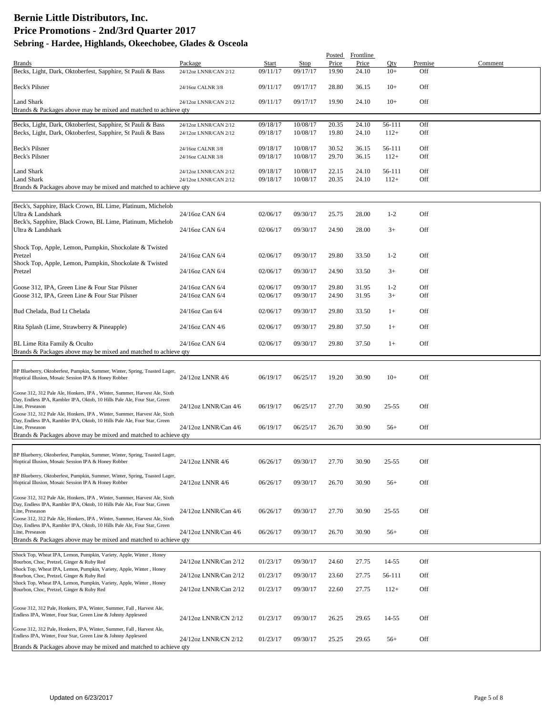|                                                                                                                                                        |                                                |                      |                      |                | Posted Frontline |                  |            |         |
|--------------------------------------------------------------------------------------------------------------------------------------------------------|------------------------------------------------|----------------------|----------------------|----------------|------------------|------------------|------------|---------|
| <b>Brands</b>                                                                                                                                          | Package                                        | Start                | Stop                 | Price          | Price            | Qty              | Premise    | Comment |
| Becks, Light, Dark, Oktoberfest, Sapphire, St Pauli & Bass                                                                                             | 24/12oz LNNR/CAN 2/12                          | 09/11/17             | 09/17/17             | 19.90          | 24.10            | $10+$            | Off        |         |
| <b>Beck's Pilsner</b>                                                                                                                                  | 24/16oz CALNR 3/8                              | 09/11/17             | 09/17/17             | 28.80          | 36.15            | $10+$            | Off        |         |
| <b>Land Shark</b>                                                                                                                                      | 24/12oz LNNR/CAN 2/12                          | 09/11/17             | 09/17/17             | 19.90          | 24.10            | $10+$            | Off        |         |
| Brands & Packages above may be mixed and matched to achieve qty                                                                                        |                                                |                      |                      |                |                  |                  |            |         |
|                                                                                                                                                        |                                                |                      |                      |                |                  |                  |            |         |
| Becks, Light, Dark, Oktoberfest, Sapphire, St Pauli & Bass<br>Becks, Light, Dark, Oktoberfest, Sapphire, St Pauli & Bass                               | 24/12oz LNNR/CAN 2/12<br>24/12oz LNNR/CAN 2/12 | 09/18/17<br>09/18/17 | 10/08/17<br>10/08/17 | 20.35<br>19.80 | 24.10<br>24.10   | 56-111<br>$112+$ | Off<br>Off |         |
|                                                                                                                                                        |                                                |                      |                      |                |                  |                  |            |         |
| Beck's Pilsner                                                                                                                                         | 24/16oz CALNR 3/8                              | 09/18/17             | 10/08/17             | 30.52          | 36.15            | 56-111           | Off        |         |
| Beck's Pilsner                                                                                                                                         | 24/16oz CALNR 3/8                              | 09/18/17             | 10/08/17             | 29.70          | 36.15            | $112+$           | Off        |         |
| Land Shark                                                                                                                                             | 24/12oz LNNR/CAN 2/12                          | 09/18/17             | 10/08/17             | 22.15          | 24.10            | 56-111           | Off        |         |
| Land Shark                                                                                                                                             | 24/12oz LNNR/CAN 2/12                          | 09/18/17             | 10/08/17             | 20.35          | 24.10            | $112+$           | Off        |         |
| Brands & Packages above may be mixed and matched to achieve qty                                                                                        |                                                |                      |                      |                |                  |                  |            |         |
|                                                                                                                                                        |                                                |                      |                      |                |                  |                  |            |         |
| Beck's, Sapphire, Black Crown, BL Lime, Platinum, Michelob                                                                                             |                                                |                      |                      |                |                  |                  |            |         |
| Ultra & Landshark                                                                                                                                      | 24/16oz CAN 6/4                                | 02/06/17             | 09/30/17             | 25.75          | 28.00            | $1 - 2$          | Off        |         |
| Beck's, Sapphire, Black Crown, BL Lime, Platinum, Michelob                                                                                             |                                                |                      |                      |                |                  |                  |            |         |
| Ultra & Landshark                                                                                                                                      | 24/16oz CAN 6/4                                | 02/06/17             | 09/30/17             | 24.90          | 28.00            | $3+$             | Off        |         |
| Shock Top, Apple, Lemon, Pumpkin, Shockolate & Twisted                                                                                                 |                                                |                      |                      |                |                  |                  |            |         |
| Pretzel                                                                                                                                                | 24/16oz CAN 6/4                                | 02/06/17             | 09/30/17             | 29.80          | 33.50            | $1 - 2$          | Off        |         |
| Shock Top, Apple, Lemon, Pumpkin, Shockolate & Twisted                                                                                                 |                                                |                      |                      |                |                  |                  |            |         |
| Pretzel                                                                                                                                                | 24/16oz CAN 6/4                                | 02/06/17             | 09/30/17             | 24.90          | 33.50            | $3+$             | Off        |         |
|                                                                                                                                                        |                                                |                      |                      |                |                  |                  |            |         |
| Goose 312, IPA, Green Line & Four Star Pilsner<br>Goose 312, IPA, Green Line & Four Star Pilsner                                                       | 24/16oz CAN 6/4<br>24/16oz CAN 6/4             | 02/06/17<br>02/06/17 | 09/30/17<br>09/30/17 | 29.80<br>24.90 | 31.95<br>31.95   | $1 - 2$<br>$3+$  | Off<br>Off |         |
|                                                                                                                                                        |                                                |                      |                      |                |                  |                  |            |         |
| Bud Chelada, Bud Lt Chelada                                                                                                                            | 24/16oz Can 6/4                                | 02/06/17             | 09/30/17             | 29.80          | 33.50            | $1+$             | Off        |         |
|                                                                                                                                                        |                                                |                      |                      |                |                  |                  |            |         |
| Rita Splash (Lime, Strawberry & Pineapple)                                                                                                             | 24/16oz CAN 4/6                                | 02/06/17             | 09/30/17             | 29.80          | 37.50            | $1+$             | Off        |         |
|                                                                                                                                                        | 24/16oz CAN 6/4                                | 02/06/17             | 09/30/17             | 29.80          | 37.50            | $1+$             | Off        |         |
| BL Lime Rita Family & Oculto<br>Brands & Packages above may be mixed and matched to achieve qty                                                        |                                                |                      |                      |                |                  |                  |            |         |
|                                                                                                                                                        |                                                |                      |                      |                |                  |                  |            |         |
| BP Blueberry, Oktoberfest, Pumpkin, Summer, Winter, Spring, Toasted Lager,                                                                             |                                                |                      |                      |                |                  |                  |            |         |
| Hoptical Illusion, Mosaic Session IPA & Honey Robber                                                                                                   | 24/12oz LNNR 4/6                               | 06/19/17             | 06/25/17             | 19.20          | 30.90            | $10+$            | Off        |         |
|                                                                                                                                                        |                                                |                      |                      |                |                  |                  |            |         |
| Goose 312, 312 Pale Ale, Honkers, IPA, Winter, Summer, Harvest Ale, Sixth<br>Day, Endless IPA, Rambler IPA, Oktob, 10 Hills Pale Ale, Four Star, Green |                                                |                      |                      |                |                  |                  |            |         |
| Line, Preseason                                                                                                                                        | 24/12oz LNNR/Can 4/6                           | 06/19/17             | 06/25/17             | 27.70          | 30.90            | $25 - 55$        | Off        |         |
| Goose 312, 312 Pale Ale, Honkers, IPA, Winter, Summer, Harvest Ale, Sixth<br>Day, Endless IPA, Rambler IPA, Oktob, 10 Hills Pale Ale, Four Star, Green |                                                |                      |                      |                |                  |                  |            |         |
| Line, Preseason                                                                                                                                        | 24/12oz LNNR/Can 4/6                           | 06/19/17             | 06/25/17             | 26.70          | 30.90            | $56+$            | Off        |         |
| Brands & Packages above may be mixed and matched to achieve qty                                                                                        |                                                |                      |                      |                |                  |                  |            |         |
|                                                                                                                                                        |                                                |                      |                      |                |                  |                  |            |         |
| BP Blueberry, Oktoberfest, Pumpkin, Summer, Winter, Spring, Toasted Lager,                                                                             |                                                |                      |                      |                |                  |                  |            |         |
| Hoptical Illusion, Mosaic Session IPA & Honey Robber                                                                                                   | 24/12oz LNNR 4/6                               | 06/26/17             | 09/30/17             | 27.70          | 30.90            | $25 - 55$        | Off        |         |
| BP Blueberry, Oktoberfest, Pumpkin, Summer, Winter, Spring, Toasted Lager,                                                                             |                                                |                      |                      |                |                  |                  |            |         |
| Hoptical Illusion, Mosaic Session IPA & Honey Robber                                                                                                   | 24/12oz LNNR 4/6                               | 06/26/17             | 09/30/17             | 26.70          | 30.90            | $56+$            | Off        |         |
| Goose 312, 312 Pale Ale, Honkers, IPA, Winter, Summer, Harvest Ale, Sixth                                                                              |                                                |                      |                      |                |                  |                  |            |         |
| Day, Endless IPA, Rambler IPA, Oktob, 10 Hills Pale Ale, Four Star, Green                                                                              |                                                |                      |                      |                |                  |                  |            |         |
| Line, Preseason                                                                                                                                        | 24/12oz LNNR/Can 4/6                           | 06/26/17             | 09/30/17             | 27.70          | 30.90            | $25 - 55$        | Off        |         |
| Goose 312, 312 Pale Ale, Honkers, IPA, Winter, Summer, Harvest Ale, Sixth<br>Day, Endless IPA, Rambler IPA, Oktob, 10 Hills Pale Ale, Four Star, Green |                                                |                      |                      |                |                  |                  |            |         |
| Line, Preseason                                                                                                                                        | 24/12oz LNNR/Can 4/6                           | 06/26/17             | 09/30/17             | 26.70          | 30.90            | $56+$            | Off        |         |
| Brands & Packages above may be mixed and matched to achieve qty                                                                                        |                                                |                      |                      |                |                  |                  |            |         |
| Shock Top, Wheat IPA, Lemon, Pumpkin, Variety, Apple, Winter, Honey                                                                                    |                                                |                      |                      |                |                  |                  |            |         |
| Bourbon, Choc, Pretzel, Ginger & Ruby Red                                                                                                              | 24/12oz LNNR/Can 2/12                          | 01/23/17             | 09/30/17             | 24.60          | 27.75            | 14-55            | Off        |         |
| Shock Top, Wheat IPA, Lemon, Pumpkin, Variety, Apple, Winter, Honey                                                                                    | 24/12oz LNNR/Can 2/12                          | 01/23/17             | 09/30/17             | 23.60          | 27.75            | 56-111           | Off        |         |
| Bourbon, Choc, Pretzel, Ginger & Ruby Red<br>Shock Top, Wheat IPA, Lemon, Pumpkin, Variety, Apple, Winter, Honey                                       |                                                |                      |                      |                |                  |                  |            |         |
| Bourbon, Choc, Pretzel, Ginger & Ruby Red                                                                                                              | 24/12oz LNNR/Can 2/12                          | 01/23/17             | 09/30/17             | 22.60          | 27.75            | $112+$           | Off        |         |
|                                                                                                                                                        |                                                |                      |                      |                |                  |                  |            |         |
| Goose 312, 312 Pale, Honkers, IPA, Winter, Summer, Fall, Harvest Ale,                                                                                  |                                                |                      |                      |                |                  |                  |            |         |
| Endless IPA, Winter, Four Star, Green Line & Johnny Appleseed                                                                                          | 24/12oz LNNR/CN 2/12                           | 01/23/17             | 09/30/17             | 26.25          | 29.65            | 14-55            | Off        |         |
| Goose 312, 312 Pale, Honkers, IPA, Winter, Summer, Fall, Harvest Ale,                                                                                  |                                                |                      |                      |                |                  |                  |            |         |
| Endless IPA, Winter, Four Star, Green Line & Johnny Appleseed                                                                                          | 24/12oz LNNR/CN 2/12                           | 01/23/17             | 09/30/17             | 25.25          | 29.65            | $56+$            | Off        |         |
| Brands & Packages above may be mixed and matched to achieve qty                                                                                        |                                                |                      |                      |                |                  |                  |            |         |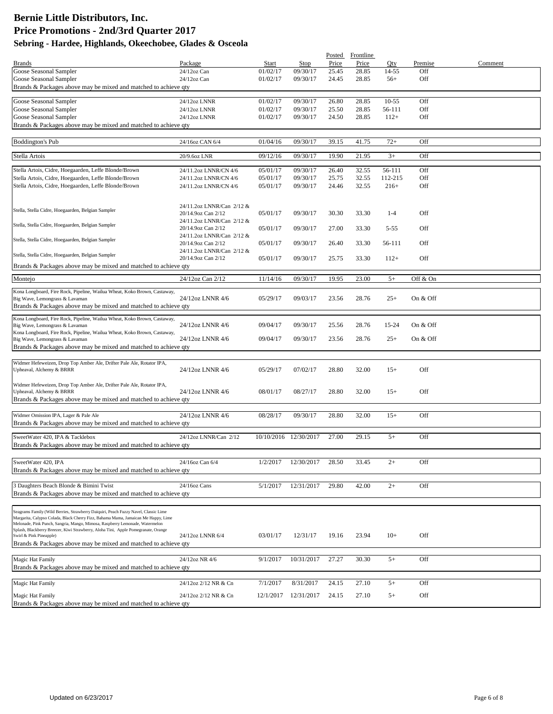|                                                                                                                                                                    |                                                 |                      |                       | Posted         | Frontline      |                  |            |         |
|--------------------------------------------------------------------------------------------------------------------------------------------------------------------|-------------------------------------------------|----------------------|-----------------------|----------------|----------------|------------------|------------|---------|
| <b>Brands</b>                                                                                                                                                      | Package                                         | Start                | Stop                  | Price          | Price          | Qty              | Premise    | Comment |
| Goose Seasonal Sampler<br>Goose Seasonal Sampler                                                                                                                   | 24/12oz Can<br>$24/12$ oz Can                   | 01/02/17<br>01/02/17 | 09/30/17<br>09/30/17  | 25.45<br>24.45 | 28.85<br>28.85 | 14-55<br>$56+$   | Off<br>Off |         |
| Brands & Packages above may be mixed and matched to achieve qty                                                                                                    |                                                 |                      |                       |                |                |                  |            |         |
|                                                                                                                                                                    |                                                 |                      |                       |                |                |                  |            |         |
| Goose Seasonal Sampler                                                                                                                                             | 24/12oz LNNR                                    | 01/02/17             | 09/30/17              | 26.80          | 28.85          | $10 - 55$        | Off        |         |
| Goose Seasonal Sampler<br>Goose Seasonal Sampler                                                                                                                   | 24/12oz LNNR<br>24/12oz LNNR                    | 01/02/17<br>01/02/17 | 09/30/17<br>09/30/17  | 25.50<br>24.50 | 28.85<br>28.85 | 56-111<br>$112+$ | Off<br>Off |         |
| Brands & Packages above may be mixed and matched to achieve qty                                                                                                    |                                                 |                      |                       |                |                |                  |            |         |
|                                                                                                                                                                    |                                                 |                      |                       |                |                |                  |            |         |
| <b>Boddington's Pub</b>                                                                                                                                            | 24/16oz CAN 6/4                                 | 01/04/16             | 09/30/17              | 39.15          | 41.75          | $72+$            | Off        |         |
| Stella Artois                                                                                                                                                      | 20/9.6oz LNR                                    | 09/12/16             | 09/30/17              | 19.90          | 21.95          | $3+$             | Off        |         |
|                                                                                                                                                                    |                                                 |                      |                       |                |                |                  |            |         |
| Stella Artois, Cidre, Hoegaarden, Leffe Blonde/Brown                                                                                                               | 24/11.2oz LNNR/CN 4/6                           | 05/01/17             | 09/30/17              | 26.40          | 32.55          | 56-111           | Off        |         |
| Stella Artois, Cidre, Hoegaarden, Leffe Blonde/Brown                                                                                                               | 24/11.2oz LNNR/CN 4/6                           | 05/01/17             | 09/30/17              | 25.75          | 32.55          | 112-215          | Off        |         |
| Stella Artois, Cidre, Hoegaarden, Leffe Blonde/Brown                                                                                                               | 24/11.2oz LNNR/CN 4/6                           | 05/01/17             | 09/30/17              | 24.46          | 32.55          | $216+$           | Off        |         |
|                                                                                                                                                                    |                                                 |                      |                       |                |                |                  |            |         |
| Stella, Stella Cidre, Hoegaarden, Belgian Sampler                                                                                                                  | 24/11.2oz LNNR/Can 2/12 &                       |                      |                       |                |                |                  |            |         |
|                                                                                                                                                                    | 20/14.9oz Can 2/12<br>24/11.2oz LNNR/Can 2/12 & | 05/01/17             | 09/30/17              | 30.30          | 33.30          | $1 - 4$          | Off        |         |
| Stella, Stella Cidre, Hoegaarden, Belgian Sampler                                                                                                                  | 20/14.9oz Can 2/12                              | 05/01/17             | 09/30/17              | 27.00          | 33.30          | $5 - 55$         | Off        |         |
| Stella, Stella Cidre, Hoegaarden, Belgian Sampler                                                                                                                  | 24/11.2oz LNNR/Can 2/12 &                       |                      |                       |                |                |                  |            |         |
|                                                                                                                                                                    | 20/14.9oz Can 2/12                              | 05/01/17             | 09/30/17              | 26.40          | 33.30          | 56-111           | Off        |         |
| Stella, Stella Cidre, Hoegaarden, Belgian Sampler                                                                                                                  | 24/11.2oz LNNR/Can 2/12 &<br>20/14.9oz Can 2/12 | 05/01/17             | 09/30/17              | 25.75          | 33.30          | $112+$           | Off        |         |
| Brands & Packages above may be mixed and matched to achieve qty                                                                                                    |                                                 |                      |                       |                |                |                  |            |         |
|                                                                                                                                                                    | 24/12oz Can 2/12                                |                      |                       |                |                |                  |            |         |
| Montejo                                                                                                                                                            |                                                 | 11/14/16             | 09/30/17              | 19.95          | 23.00          | $5+$             | Off & On   |         |
| Kona Longboard, Fire Rock, Pipeline, Wailua Wheat, Koko Brown, Castaway,                                                                                           |                                                 |                      |                       |                |                |                  |            |         |
| Big Wave, Lemongrass & Lavaman<br>Brands & Packages above may be mixed and matched to achieve qty                                                                  | 24/12oz LNNR 4/6                                | 05/29/17             | 09/03/17              | 23.56          | 28.76          | $25+$            | On & Off   |         |
|                                                                                                                                                                    |                                                 |                      |                       |                |                |                  |            |         |
| Kona Longboard, Fire Rock, Pipeline, Wailua Wheat, Koko Brown, Castaway,                                                                                           |                                                 |                      | 09/30/17              |                |                |                  | On & Off   |         |
| Big Wave, Lemongrass & Lavaman<br>Kona Longboard, Fire Rock, Pipeline, Wailua Wheat, Koko Brown, Castaway,                                                         | 24/12oz LNNR 4/6                                | 09/04/17             |                       | 25.56          | 28.76          | 15-24            |            |         |
| Big Wave, Lemongrass & Lavaman                                                                                                                                     | 24/12oz LNNR 4/6                                | 09/04/17             | 09/30/17              | 23.56          | 28.76          | $25+$            | On & Off   |         |
| Brands & Packages above may be mixed and matched to achieve qty                                                                                                    |                                                 |                      |                       |                |                |                  |            |         |
|                                                                                                                                                                    |                                                 |                      |                       |                |                |                  |            |         |
| Widmer Hefeweizen, Drop Top Amber Ale, Drifter Pale Ale, Rotator IPA,<br>Upheaval, Alchemy & BRRR                                                                  | 24/12oz LNNR 4/6                                | 05/29/17             | 07/02/17              | 28.80          | 32.00          | $15+$            | Off        |         |
|                                                                                                                                                                    |                                                 |                      |                       |                |                |                  |            |         |
| Widmer Hefeweizen, Drop Top Amber Ale, Drifter Pale Ale, Rotator IPA,                                                                                              |                                                 |                      |                       |                |                |                  |            |         |
| Upheaval, Alchemy & BRRR<br>Brands & Packages above may be mixed and matched to achieve gty                                                                        | 24/12oz LNNR 4/6                                | 08/01/17             | 08/27/17              | 28.80          | 32.00          | $15+$            | Off        |         |
|                                                                                                                                                                    |                                                 |                      |                       |                |                |                  |            |         |
| Widmer Omission IPA, Lager & Pale Ale                                                                                                                              | 24/12oz LNNR 4/6                                | 08/28/17             | 09/30/17              | 28.80          | 32.00          | $15+$            | Off        |         |
| Brands & Packages above may be mixed and matched to achieve qty                                                                                                    |                                                 |                      |                       |                |                |                  |            |         |
| SweetWater 420, IPA & Tacklebox                                                                                                                                    | 24/12oz LNNR/Can 2/12                           |                      | 10/10/2016 12/30/2017 | 27.00          | 29.15          | $5+$             | Off        |         |
| Brands & Packages above may be mixed and matched to achieve qty                                                                                                    |                                                 |                      |                       |                |                |                  |            |         |
|                                                                                                                                                                    |                                                 |                      |                       |                |                |                  |            |         |
| SweetWater 420, IPA                                                                                                                                                | 24/16oz Can 6/4                                 | 1/2/2017             | 12/30/2017            | 28.50          | 33.45          | $2+$             | Off        |         |
| Brands & Packages above may be mixed and matched to achieve qty                                                                                                    |                                                 |                      |                       |                |                |                  |            |         |
|                                                                                                                                                                    |                                                 |                      |                       |                |                |                  |            |         |
| 3 Daughters Beach Blonde & Bimini Twist<br>Brands & Packages above may be mixed and matched to achieve qty                                                         | 24/16oz Cans                                    | 5/1/2017             | 12/31/2017            | 29.80          | 42.00          | $2+$             | Off        |         |
|                                                                                                                                                                    |                                                 |                      |                       |                |                |                  |            |         |
| Seagrams Family (Wild Berries, Strawberry Daiquiri, Peach Fuzzy Navel, Classic Lime                                                                                |                                                 |                      |                       |                |                |                  |            |         |
| Margarita, Calypso Colada, Black Cherry Fizz, Bahama Mama, Jamaican Me Happy, Lime                                                                                 |                                                 |                      |                       |                |                |                  |            |         |
| Melonade, Pink Punch, Sangria, Mango, Mimosa, Raspberry Lemonade, Watermelon<br>Splash, Blackberry Breezer, Kiwi Strawberry, Aloha Tini, Apple Pomegranate, Orange |                                                 |                      |                       |                |                |                  |            |         |
| Swirl & Pink Pineapple)                                                                                                                                            | 24/12oz LNNR 6/4                                | 03/01/17             | 12/31/17              | 19.16          | 23.94          | $10+$            | Off        |         |
| Brands & Packages above may be mixed and matched to achieve qty                                                                                                    |                                                 |                      |                       |                |                |                  |            |         |
| Magic Hat Family                                                                                                                                                   | 24/12oz NR 4/6                                  | 9/1/2017             | 10/31/2017            | 27.27          | 30.30          | $5+$             | Off        |         |
| Brands & Packages above may be mixed and matched to achieve qty                                                                                                    |                                                 |                      |                       |                |                |                  |            |         |
|                                                                                                                                                                    |                                                 |                      |                       |                |                |                  |            |         |
| Magic Hat Family                                                                                                                                                   | 24/12oz 2/12 NR & Cn                            | 7/1/2017             | 8/31/2017             | 24.15          | 27.10          | $5+$             | Off        |         |
| Magic Hat Family                                                                                                                                                   | 24/12oz 2/12 NR & Cn                            | 12/1/2017            | 12/31/2017            | 24.15          | 27.10          | $5+$             | Off        |         |
| Brands & Packages above may be mixed and matched to achieve qty                                                                                                    |                                                 |                      |                       |                |                |                  |            |         |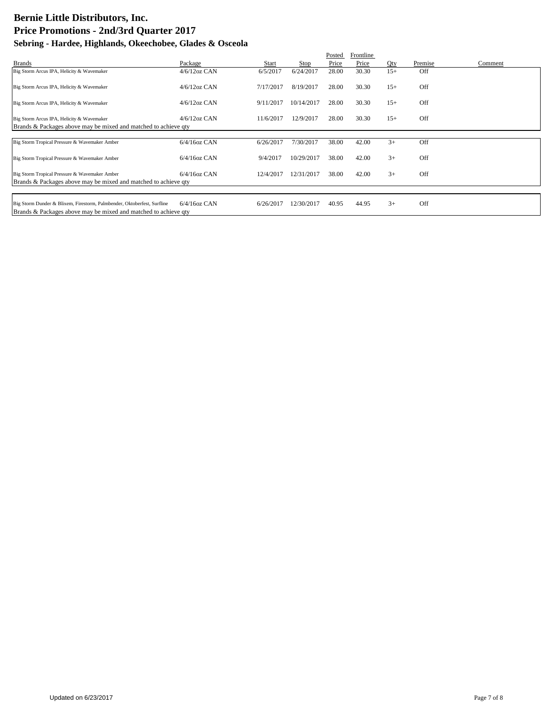|                                                                                                                                            |                 |           |            | Posted | Frontline |       |         |         |
|--------------------------------------------------------------------------------------------------------------------------------------------|-----------------|-----------|------------|--------|-----------|-------|---------|---------|
| <b>Brands</b>                                                                                                                              | Package         | Start     | Stop       | Price  | Price     | Qty   | Premise | Comment |
| Big Storm Arcus IPA, Helicity & Wavemaker                                                                                                  | $4/6/12$ oz CAN | 6/5/2017  | 6/24/2017  | 28.00  | 30.30     | $15+$ | Off     |         |
| Big Storm Arcus IPA, Helicity & Wavemaker                                                                                                  | $4/6/12$ oz CAN | 7/17/2017 | 8/19/2017  | 28.00  | 30.30     | $15+$ | Off     |         |
| Big Storm Arcus IPA, Helicity & Wavemaker                                                                                                  | $4/6/12$ oz CAN | 9/11/2017 | 10/14/2017 | 28.00  | 30.30     | $15+$ | Off     |         |
| Big Storm Arcus IPA, Helicity & Wavemaker<br>Brands & Packages above may be mixed and matched to achieve gty                               | $4/6/12$ oz CAN | 11/6/2017 | 12/9/2017  | 28.00  | 30.30     | $15+$ | Off     |         |
|                                                                                                                                            |                 |           |            |        |           |       |         |         |
| Big Storm Tropical Pressure & Wavemaker Amber                                                                                              | $6/4/16$ oz CAN | 6/26/2017 | 7/30/2017  | 38.00  | 42.00     | $3+$  | Off     |         |
| Big Storm Tropical Pressure & Wavemaker Amber                                                                                              | $6/4/16$ oz CAN | 9/4/2017  | 10/29/2017 | 38.00  | 42.00     | $3+$  | Off     |         |
| Big Storm Tropical Pressure & Wavemaker Amber                                                                                              | $6/4/16$ oz CAN | 12/4/2017 | 12/31/2017 | 38.00  | 42.00     | $3+$  | Off     |         |
| Brands & Packages above may be mixed and matched to achieve qty                                                                            |                 |           |            |        |           |       |         |         |
|                                                                                                                                            |                 |           |            |        |           |       |         |         |
| Big Storm Dunder & Blixem, Firestorm, Palmbender, Oktoberfest, Surfline<br>Brands & Packages above may be mixed and matched to achieve gty | $6/4/16$ oz CAN | 6/26/2017 | 12/30/2017 | 40.95  | 44.95     | $3+$  | Off     |         |